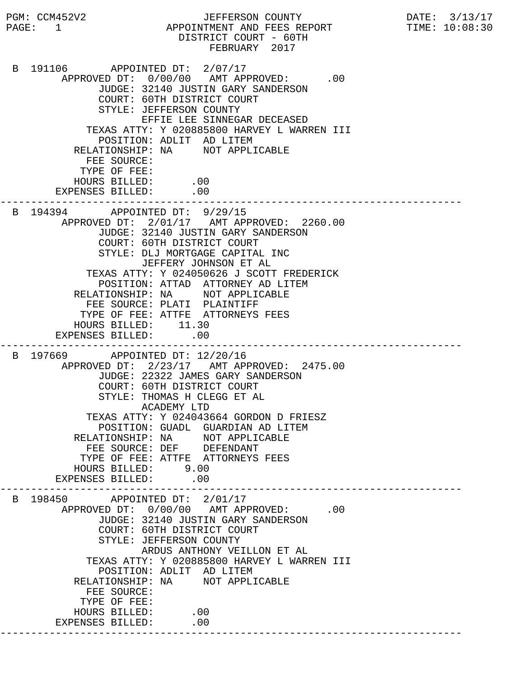PGM: CCM452V2 JEFFERSON COUNTY DATE: 3/13/17 PAGE: 1 APPOINTMENT AND FEES REPORT TIME: 10:08:30 DISTRICT COURT - 60TH FEBRUARY 2017 B 191106 APPOINTED DT: 2/07/17 APPROVED DT:  $0/00/00$  AMT APPROVED: .00 JUDGE: 32140 JUSTIN GARY SANDERSON COURT: 60TH DISTRICT COURT STYLE: JEFFERSON COUNTY EFFIE LEE SINNEGAR DECEASED TEXAS ATTY: Y 020885800 HARVEY L WARREN III POSITION: ADLIT AD LITEM RELATIONSHIP: NA NOT APPLICABLE FEE SOURCE: TYPE OF FEE: HOURS BILLED: .00 EXPENSES BILLED: .00 --------------------------------------------------------------------------- B 194394 APPOINTED DT: 9/29/15 APPROVED DT: 2/01/17 AMT APPROVED: 2260.00 JUDGE: 32140 JUSTIN GARY SANDERSON COURT: 60TH DISTRICT COURT STYLE: DLJ MORTGAGE CAPITAL INC JEFFERY JOHNSON ET AL TEXAS ATTY: Y 024050626 J SCOTT FREDERICK POSITION: ATTAD ATTORNEY AD LITEM RELATIONSHIP: NA NOT APPLICABLE FEE SOURCE: PLATI PLAINTIFF TYPE OF FEE: ATTFE ATTORNEYS FEES HOURS BILLED: 11.30 EXPENSES BILLED: .00 --------------------------------------------------------------------------- B 197669 APPOINTED DT: 12/20/16 APPROVED DT: 2/23/17 AMT APPROVED: 2475.00 JUDGE: 22322 JAMES GARY SANDERSON COURT: 60TH DISTRICT COURT STYLE: THOMAS H CLEGG ET AL ACADEMY LTD TEXAS ATTY: Y 024043664 GORDON D FRIESZ POSITION: GUADL GUARDIAN AD LITEM RELATIONSHIP: NA NOT APPLICABLE FEE SOURCE: DEF DEFENDANT TYPE OF FEE: ATTFE ATTORNEYS FEES HOURS BILLED: 9.00 EXPENSES BILLED: .00 --------------------------------------------------------------------------- B 198450 APPOINTED DT: 2/01/17 APPROVED DT:  $0/00/00$  AMT APPROVED: .00 JUDGE: 32140 JUSTIN GARY SANDERSON COURT: 60TH DISTRICT COURT STYLE: JEFFERSON COUNTY ARDUS ANTHONY VEILLON ET AL TEXAS ATTY: Y 020885800 HARVEY L WARREN III POSITION: ADLIT AD LITEM RELATIONSHIP: NA NOT APPLICABLE FEE SOURCE: TYPE OF FEE: HOURS BILLED: .00 EXPENSES BILLED: .00 ---------------------------------------------------------------------------